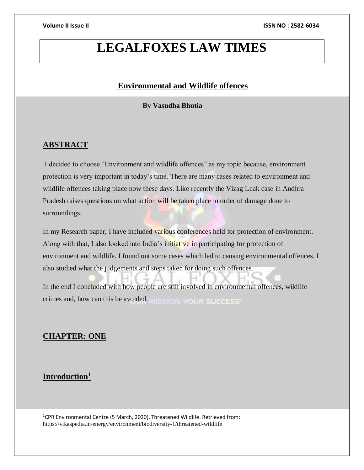# **LEGALFOXES LAW TIMES**

## **Environmental and Wildlife offences**

## **By Vasudha Bhutia**

## **ABSTRACT**

I decided to choose "Environment and wildlife offences" as my topic because, environment protection is very important in today's time. There are many cases related to environment and wildlife offences taking place now these days. Like recently the Vizag Leak case in Andhra Pradesh raises questions on what action will be taken place in order of damage done to surroundings.

In my Research paper, I have included various conferences held for protection of environment. Along with that, I also looked into India's initiative in participating for protection of environment and wildlife. I found out some cases which led to causing environmental offences. I also studied what the judgements and steps taken for doing such offences.

In the end I concluded with how people are still involved in environmental offences, wildlife crimes and, how can this be avoided. WHE SIGN YOUR SUCCESS.

## **CHAPTER: ONE**

## **Introduction<sup>1</sup>**

l

<sup>1</sup>CPR Environmental Centre (5 March, 2020), Threatened Wildlife. Retrieved from: <https://vikaspedia.in/energy/environment/biodiversity-1/threatened-wildlife>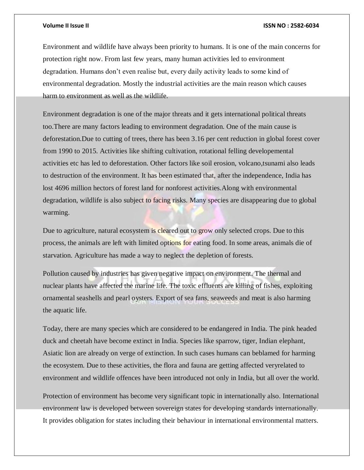Environment and wildlife have always been priority to humans. It is one of the main concerns for protection right now. From last few years, many human activities led to environment degradation. Humans don't even realise but, every daily activity leads to some kind of environmental degradation. Mostly the industrial activities are the main reason which causes harm to environment as well as the wildlife.

Environment degradation is one of the major threats and it gets international political threats too.There are many factors leading to environment degradation. One of the main cause is deforestation.Due to cutting of trees, there has been 3.16 per cent reduction in global forest cover from 1990 to 2015. Activities like shifting cultivation, rotational felling developemental activities etc has led to deforestation. Other factors like soil erosion, volcano,tsunami also leads to destruction of the environment. It has been estimated that, after the independence, India has lost 4696 million hectors of forest land for nonforest activities.Along with environmental degradation, wildlife is also subject to facing risks. Many species are disappearing due to global warming.

Due to agriculture, natural ecosystem is cleared out to grow only selected crops. Due to this process, the animals are left with limited options for eating food. In some areas, animals die of starvation. Agriculture has made a way to neglect the depletion of forests.

Pollution caused by industries has given negative impact on environment. The thermal and nuclear plants have affected the marine life. The toxic effluents are killing of fishes, exploiting ornamental seashells and pearl oysters. Export of sea fans, seaweeds and meat is also harming the aquatic life.

Today, there are many species which are considered to be endangered in India. The pink headed duck and cheetah have become extinct in India. Species like sparrow, tiger, Indian elephant, Asiatic lion are already on verge of extinction. In such cases humans can beblamed for harming the ecosystem. Due to these activities, the flora and fauna are getting affected veryrelated to environment and wildlife offences have been introduced not only in India, but all over the world.

Protection of environment has become very significant topic in internationally also. International environment law is developed between sovereign states for developing standards internationally. It provides obligation for states including their behaviour in international environmental matters.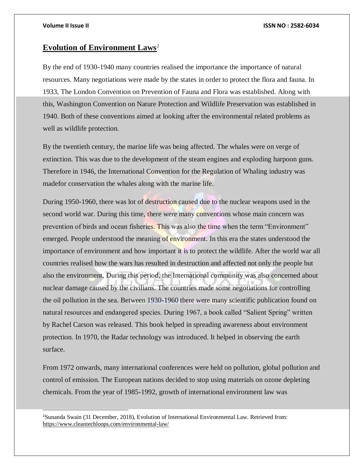l

### **Volume II Issue II ISSN NO : 2582-6034**

## **Evolution of Environment Laws**<sup>2</sup>

By the end of 1930-1940 many countries realised the importance the importance of natural resources. Many negotiations were made by the states in order to protect the flora and fauna. In 1933, The London Convention on Prevention of Fauna and Flora was established. Along with this, Washington Convention on Nature Protection and Wildlife Preservation was established in 1940. Both of these conventions aimed at looking after the environmental related problems as well as wildlife protection.

By the twentieth century, the marine life was being affected. The whales were on verge of extinction. This was due to the development of the steam engines and exploding harpoon guns. Therefore in 1946, the International Convention for the Regulation of Whaling industry was madefor conservation the whales along with the marine life.

During 1950-1960, there was lot of destruction caused due to the nuclear weapons used in the second world war. During this time, there were many conventions whose main concern was prevention of birds and ocean fisheries. This was also the time when the term "Environment" emerged. People understood the meaning of environment. In this era the states understood the importance of environment and how important it is to protect the wildlife. After the world war all countries realised how the wars has resulted in destruction and affected not only the people but also the environment. During this period, the International community was also concerned about nuclear damage caused by the civilians. The countries made some negotiations for controlling the oil pollution in the sea. Between 1930-1960 there were many scientific publication found on natural resources and endangered species. During 1967, a book called "Salient Spring" written by Rachel Carson was released. This book helped in spreading awareness about environment protection. In 1970, the Radar technology was introduced. It helped in observing the earth surface.

From 1972 onwards, many international conferences were held on pollution, global pollution and control of emission. The European nations decided to stop using materials on ozone depleting chemicals. From the year of 1985-1992, growth of international environment law was

<sup>2</sup>Sunanda Swain (31 December, 2018), Evolution of International Environmental Law. Retrieved from: <https://www.cleantechloops.com/environmental-law/>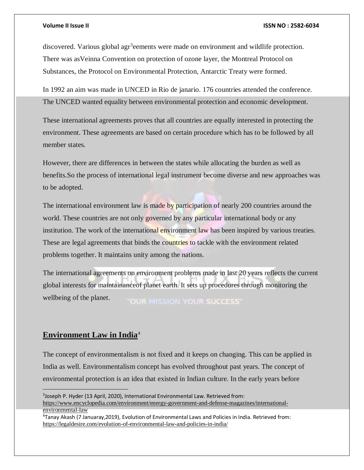discovered. Various global agr<sup>3</sup>eements were made on environment and wildlife protection. There was asVeinna Convention on protection of ozone layer, the Montreal Protocol on Substances, the Protocol on Environmental Protection, Antarctic Treaty were formed.

In 1992 an aim was made in UNCED in Rio de janario. 176 countries attended the conference. The UNCED wanted equality between environmental protection and economic development.

These international agreements proves that all countries are equally interested in protecting the environment. These agreements are based on certain procedure which has to be followed by all member states.

However, there are differences in between the states while allocating the burden as well as benefits.So the process of international legal instrument become diverse and new approaches was to be adopted.

The international environment law is made by participation of nearly 200 countries around the world. These countries are not only governed by any particular international body or any institution. The work of the international environment law has been inspired by various treaties. These are legal agreements that binds the countries to tackle with the environment related problems together. It maintains unity among the nations.

The international agreements on environment problems made in last 20 years reflects the current global interests for maintainanceof planet earth. It sets up procedures through monitoring the wellbeing of the planet. **"OUR MISSION YOUR SUCCESS"** 

## **Environment Law in India**<sup>4</sup>

The concept of environmentalism is not fixed and it keeps on changing. This can be applied in India as well. Environmentalism concept has evolved throughout past years. The concept of environmental protection is an idea that existed in Indian culture. In the early years before

<sup>3</sup> Joseph P. Hyder (13 April, 2020), International Environmental Law. Retrieved from: [https://www.encyclopedia.com/environment/energy-government-and-defense-magazines/international](https://www.encyclopedia.com/environment/energy-government-and-defense-magazines/international-environmental-law)[environmental-law](https://www.encyclopedia.com/environment/energy-government-and-defense-magazines/international-environmental-law)

<sup>4</sup>Tanay Akash (7 Januaray,2019), Evolution of Environmental Laws and Policies in India. Retrieved from: <https://legaldesire.com/evolution-of-environmental-law-and-policies-in-india/>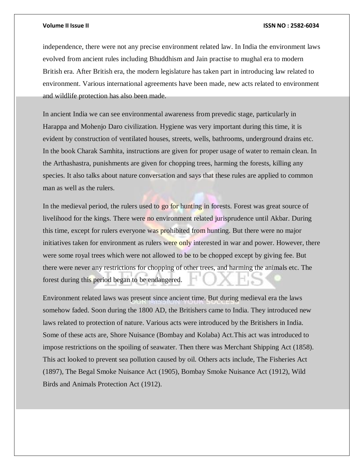independence, there were not any precise environment related law. In India the environment laws evolved from ancient rules including Bhuddhism and Jain practise to mughal era to modern British era. After British era, the modern legislature has taken part in introducing law related to environment. Various international agreements have been made, new acts related to environment and wildlife protection has also been made.

In ancient India we can see environmental awareness from prevedic stage, particularly in Harappa and Mohenjo Daro civilization. Hygiene was very important during this time, it is evident by construction of ventilated houses, streets, wells, bathrooms, underground drains etc. In the book Charak Samhita, instructions are given for proper usage of water to remain clean. In the Arthashastra, punishments are given for chopping trees, harming the forests, killing any species. It also talks about nature conversation and says that these rules are applied to common man as well as the rulers.

In the medieval period, the rulers used to go for hunting in forests. Forest was great source of livelihood for the kings. There were no environment related jurisprudence until Akbar. During this time, except for rulers everyone was prohibited from hunting. But there were no major initiatives taken for environment as rulers were only interested in war and power. However, there were some royal trees which were not allowed to be to be chopped except by giving fee. But there were never any restrictions for chopping of other trees, and harming the animals etc. The forest during this period began to be endangered.

Environment related laws was present since ancient time. But during medieval era the laws somehow faded. Soon during the 1800 AD, the Britishers came to India. They introduced new laws related to protection of nature. Various acts were introduced by the Britishers in India. Some of these acts are, Shore Nuisance (Bombay and Kolaba) Act.This act was introduced to impose restrictions on the spoiling of seawater. Then there was Merchant Shipping Act (1858). This act looked to prevent sea pollution caused by oil. Others acts include, The Fisheries Act (1897), The Begal Smoke Nuisance Act (1905), Bombay Smoke Nuisance Act (1912), Wild Birds and Animals Protection Act (1912).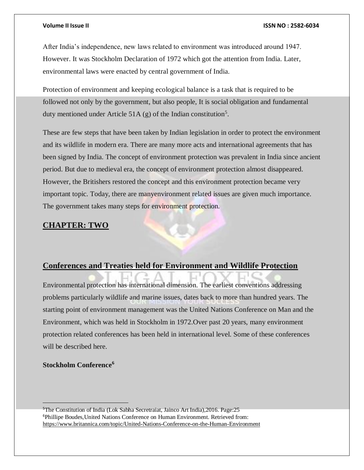After India's independence, new laws related to environment was introduced around 1947. However. It was Stockholm Declaration of 1972 which got the attention from India. Later, environmental laws were enacted by central government of India.

Protection of environment and keeping ecological balance is a task that is required to be followed not only by the government, but also people, It is social obligation and fundamental duty mentioned under Article 51A (g) of the Indian constitution<sup>5</sup>.

These are few steps that have been taken by Indian legislation in order to protect the environment and its wildlife in modern era. There are many more acts and international agreements that has been signed by India. The concept of environment protection was prevalent in India since ancient period. But due to medieval era, the concept of environment protection almost disappeared. However, the Britishers restored the concept and this environment protection became very important topic. Today, there are manyenvironment related issues are given much importance. The government takes many steps for environment protection.

### **CHAPTER: TWO**

## **Conferences and Treaties held for Environment and Wildlife Protection**

Environmental protection has international dimension. The earliest conventions addressing problems particularly wildlife and marine issues, dates back to more than hundred years. The starting point of environment management was the United Nations Conference on Man and the Environment, which was held in Stockholm in 1972.Over past 20 years, many environment protection related conferences has been held in international level. Some of these conferences will be described here.

## **Stockholm Conference<sup>6</sup>**

<sup>5</sup>The Constitution of India (Lok Sabha Secretraiat, Jainco Art India),2016. Page:25 <sup>6</sup>Phillipe Boudes,United Nations Conference on Human Environment. Retrieved from: <https://www.britannica.com/topic/United-Nations-Conference-on-the-Human-Environment>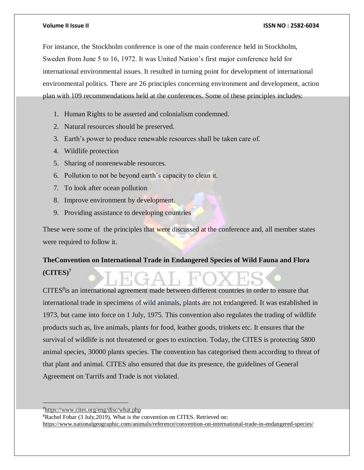For instance, the Stockholm conference is one of the main conference held in Stockholm, Sweden from June 5 to 16, 1972. It was United Nation's first major conference held for international environmental issues. It resulted in turning point for development of international environmental politics. There are 26 principles concerning environment and development, action plan with 109 recommendations held at the conferences. Some of these principles includes:

- 1. Human Rights to be asserted and colonialism condemned.
- 2. Natural resources should be preserved.
- 3. Earth's power to produce renewable resources shall be taken care of.
- 4. Wildlife protection

- 5. Sharing of nonrenewable resources.
- 6. Pollution to not be beyond earth's capacity to clean it.
- 7. To look after ocean pollution
- 8. Improve environment by development.
- 9. Providing assistance to developing countries

These were some of the principles that were discussed at the conference and, all member states were required to follow it.

## **TheConvention on International Trade in Endangered Species of Wild Fauna and Flora (CITES)<sup>7</sup>**

CITES<sup>8</sup> is an international agreement made between different countries in order to ensure that international trade in specimens of wild animals, plants are not endangered. It was established in 1973, but came into force on 1 July, 1975. This convention also regulates the trading of wildlife products such as, live animals, plants for food, leather goods, trinkets etc. It ensures that the survival of wildlife is not threatened or goes to extinction. Today, the CITES is protecting 5800 animal species, 30000 plants species. The convention has categorised them according to threat of that plant and animal. CITES also ensured that due its presence, the guidelines of General Agreement on Tarrifs and Trade is not violated.

<sup>7</sup><https://www.cites.org/eng/disc/what.php> <sup>8</sup>Rachel Fobar (3 July, 2019), What is the convention on CITES. Retrieved on: <https://www.nationalgeographic.com/animals/reference/convention-on-international-trade-in-endangered-species/>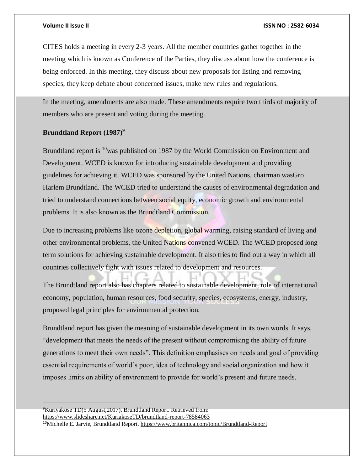CITES holds a meeting in every 2-3 years. All the member countries gather together in the meeting which is known as Conference of the Parties, they discuss about how the conference is being enforced. In this meeting, they discuss about new proposals for listing and removing species, they keep debate about concerned issues, make new rules and regulations.

In the meeting, amendments are also made. These amendments require two thirds of majority of members who are present and voting during the meeting.

### **Brundtland Report (1987)<sup>9</sup>**

Brundtland report is <sup>10</sup>was published on 1987 by the World Commission on Environment and Development. WCED is known for introducing sustainable development and providing guidelines for achieving it. WCED was sponsored by the United Nations, chairman wasGro Harlem Brundtland. The WCED tried to understand the causes of environmental degradation and tried to understand connections between social equity, economic growth and environmental problems. It is also known as the Brundtland Commission.

Due to increasing problems like ozone depletion, global warming, raising standard of living and other environmental problems, the United Nations convened WCED. The WCED proposed long term solutions for achieving sustainable development. It also tries to find out a way in which all countries collectively fight with issues related to development and resources.

The Brundtland report also has chapters related to sustainable development, role of international economy, population, human resources, food security, species, ecosystems, energy, industry, proposed legal principles for environmental protection.

Brundtland report has given the meaning of sustainable development in its own words. It says, "development that meets the needs of the present without compromising the ability of future generations to meet their own needs". This definition emphasises on needs and goal of providing essential requirements of world's poor, idea of technology and social organization and how it imposes limits on ability of environment to provide for world's present and future needs.

<sup>9</sup>Kuriyakose TD(5 August,2017), Brundtland Report. Retrieved from: <https://www.slideshare.net/KuriakoseTD/brundtland-report-78584063> <sup>10</sup>Michelle E. Jarvie, Brundtland Report[. https://www.britannica.com/topic/Brundtland-Report](https://www.britannica.com/topic/Brundtland-Report)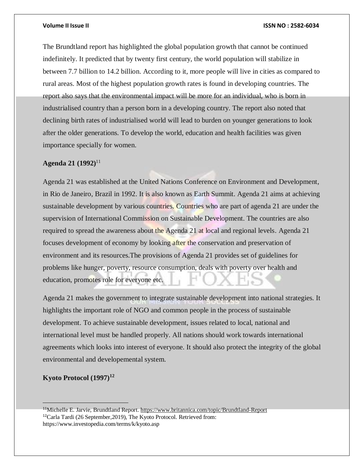The Brundtland report has highlighted the global population growth that cannot be continued indefinitely. It predicted that by twenty first century, the world population will stabilize in between 7.7 billion to 14.2 billion. According to it, more people will live in cities as compared to rural areas. Most of the highest population growth rates is found in developing countries. The report also says that the environmental impact will be more for an individual, who is born in industrialised country than a person born in a developing country. The report also noted that declining birth rates of industrialised world will lead to burden on younger generations to look after the older generations. To develop the world, education and health facilities was given importance specially for women.

### **Agenda 21 (1992)**<sup>11</sup>

Agenda 21 was established at the United Nations Conference on Environment and Development, in Rio de Janeiro, Brazil in 1992. It is also known as Earth Summit. Agenda 21 aims at achieving sustainable development by various countries. Countries who are part of agenda 21 are under the supervision of International Commission on Sustainable Development. The countries are also required to spread the awareness about the Agenda 21 at local and regional levels. Agenda 21 focuses development of economy by looking after the conservation and preservation of environment and its resources.The provisions of Agenda 21 provides set of guidelines for problems like hunger, poverty, resource consumption, deals with poverty over health and education, promotes role for everyone etc.

Agenda 21 makes the government to integrate sustainable development into national strategies. It highlights the important role of NGO and common people in the process of sustainable development. To achieve sustainable development, issues related to local, national and international level must be handled properly. All nations should work towards international agreements which looks into interest of everyone. It should also protect the integrity of the global environmental and developemental system.

## **Kyoto Protocol (1997)<sup>12</sup>**

<sup>11</sup>Michelle E. Jarvie, Brundtland Report[. https://www.britannica.com/topic/Brundtland-Report](https://www.britannica.com/topic/Brundtland-Report) <sup>12</sup>Carla Tardi (26 September,2019), The Kyoto Protocol. Retrieved from: <https://www.investopedia.com/terms/k/kyoto.asp>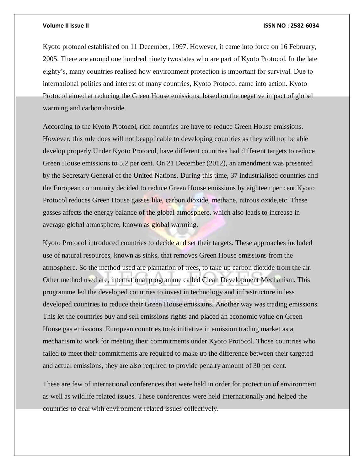Kyoto protocol established on 11 December, 1997. However, it came into force on 16 February, 2005. There are around one hundred ninety twostates who are part of Kyoto Protocol. In the late eighty's, many countries realised how environment protection is important for survival. Due to international politics and interest of many countries, Kyoto Protocol came into action. Kyoto Protocol aimed at reducing the Green House emissions, based on the negative impact of global warming and carbon dioxide.

According to the Kyoto Protocol, rich countries are have to reduce Green House emissions. However, this rule does will not beapplicable to developing countries as they will not be able develop properly.Under Kyoto Protocol, have different countries had different targets to reduce Green House emissions to 5.2 per cent. On 21 December (2012), an amendment was presented by the Secretary General of the United Nations. During this time, 37 industrialised countries and the European community decided to reduce Green House emissions by eighteen per cent.Kyoto Protocol reduces Green House gasses like, carbon dioxide, methane, nitrous oxide,etc. These gasses affects the energy balance of the global atmosphere, which also leads to increase in average global atmosphere, known as global warming.

Kyoto Protocol introduced countries to decide and set their targets. These approaches included use of natural resources, known as sinks, that removes Green House emissions from the atmosphere. So the method used are plantation of trees, to take up carbon dioxide from the air. Other method used are, international programme called Clean Development Mechanism. This programme led the developed countries to invest in technology and infrastructure in less developed countries to reduce their Green House emissions. Another way was trading emissions. This let the countries buy and sell emissions rights and placed an economic value on Green House gas emissions. European countries took initiative in emission trading market as a mechanism to work for meeting their commitments under Kyoto Protocol. Those countries who failed to meet their commitments are required to make up the difference between their targeted and actual emissions, they are also required to provide penalty amount of 30 per cent.

These are few of international conferences that were held in order for protection of environment as well as wildlife related issues. These conferences were held internationally and helped the countries to deal with environment related issues collectively.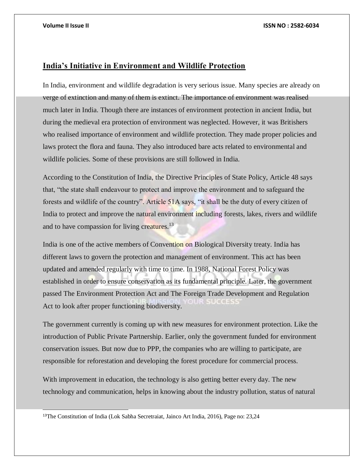l

## **India's Initiative in Environment and Wildlife Protection**

In India, environment and wildlife degradation is very serious issue. Many species are already on verge of extinction and many of them is extinct. The importance of environment was realised much later in India. Though there are instances of environment protection in ancient India, but during the medieval era protection of environment was neglected. However, it was Britishers who realised importance of environment and wildlife protection. They made proper policies and laws protect the flora and fauna. They also introduced bare acts related to environmental and wildlife policies. Some of these provisions are still followed in India.

According to the Constitution of India, the Directive Principles of State Policy, Article 48 says that, "the state shall endeavour to protect and improve the environment and to safeguard the forests and wildlife of the country". Article 51A says, "it shall be the duty of every citizen of India to protect and improve the natural environment including forests, lakes, rivers and wildlife and to have compassion for living creatures.<sup>13</sup>

India is one of the active members of Convention on Biological Diversity treaty. India has different laws to govern the protection and management of environment. This act has been updated and amended regularly with time to time. In 1988, National Forest Policy was established in order to ensure conservation as its fundamental principle. Later, the government passed The Environment Protection Act and The Foreign Trade Development and Regulation Act to look after proper functioning biodiversity.

The government currently is coming up with new measures for environment protection. Like the introduction of Public Private Partnership. Earlier, only the government funded for environment conservation issues. But now due to PPP, the companies who are willing to participate, are responsible for reforestation and developing the forest procedure for commercial process.

With improvement in education, the technology is also getting better every day. The new technology and communication, helps in knowing about the industry pollution, status of natural

<sup>&</sup>lt;sup>13</sup>The Constitution of India (Lok Sabha Secretraiat, Jainco Art India, 2016), Page no: 23,24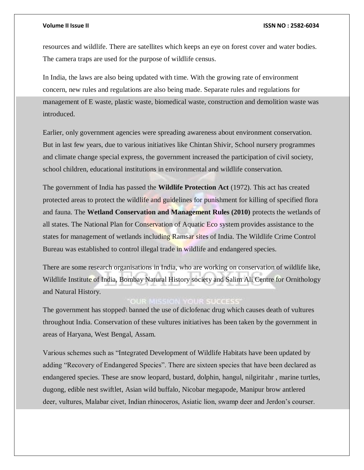resources and wildlife. There are satellites which keeps an eye on forest cover and water bodies. The camera traps are used for the purpose of wildlife census.

In India, the laws are also being updated with time. With the growing rate of environment concern, new rules and regulations are also being made. Separate rules and regulations for management of E waste, plastic waste, biomedical waste, construction and demolition waste was introduced.

Earlier, only government agencies were spreading awareness about environment conservation. But in last few years, due to various initiatives like Chintan Shivir, School nursery programmes and climate change special express, the government increased the participation of civil society, school children, educational institutions in environmental and wildlife conservation.

The government of India has passed the **Wildlife Protection Act** (1972). This act has created protected areas to protect the wildlife and guidelines for punishment for killing of specified flora and fauna. The **Wetland Conservation and Management Rules (2010)** protects the wetlands of all states. The National Plan for Conservation of Aquatic Eco system provides assistance to the states for management of wetlands including Ramsar sites of India. The Wildlife Crime Control Bureau was established to control illegal trade in wildlife and endangered species.

There are some research organisations in India, who are working on conservation of wildlife like, Wildlife Institute of India, Bombay Natural History society and Salim Ali Centre for Ornithology and Natural History.

## **OUR MISSION YOUR SUCCESS**

The government has stopped\ banned the use of diclofenac drug which causes death of vultures throughout India. Conservation of these vultures initiatives has been taken by the government in areas of Haryana, West Bengal, Assam.

Various schemes such as "Integrated Development of Wildlife Habitats have been updated by adding "Recovery of Endangered Species". There are sixteen species that have been declared as endangered species. These are snow leopard, bustard, dolphin, hangul, nilgiritahr , marine turtles, dugong, edible nest swiftlet, Asian wild buffalo, Nicobar megapode, Manipur brow antlered deer, vultures, Malabar civet, Indian rhinoceros, Asiatic lion, swamp deer and Jerdon's courser.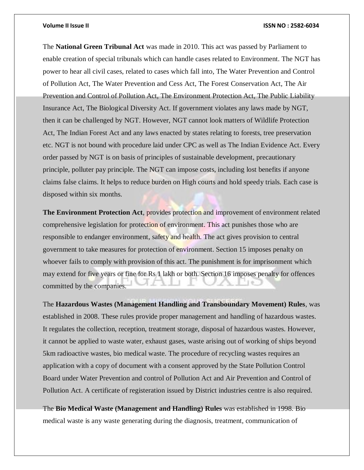The **National Green Tribunal Act** was made in 2010. This act was passed by Parliament to enable creation of special tribunals which can handle cases related to Environment. The NGT has power to hear all civil cases, related to cases which fall into, The Water Prevention and Control of Pollution Act, The Water Prevention and Cess Act, The Forest Conservation Act, The Air Prevention and Control of Pollution Act, The Environment Protection Act, The Public Liability Insurance Act, The Biological Diversity Act. If government violates any laws made by NGT, then it can be challenged by NGT. However, NGT cannot look matters of Wildlife Protection Act, The Indian Forest Act and any laws enacted by states relating to forests, tree preservation etc. NGT is not bound with procedure laid under CPC as well as The Indian Evidence Act. Every order passed by NGT is on basis of principles of sustainable development, precautionary principle, polluter pay principle. The NGT can impose costs, including lost benefits if anyone claims false claims. It helps to reduce burden on High courts and hold speedy trials. Each case is disposed within six months.

**The Environment Protection Act**, provides protection and improvement of environment related comprehensive legislation for protection of environment. This act punishes those who are responsible to endanger environment, safety and health. The act gives provision to central government to take measures for protection of environment. Section 15 imposes penalty on whoever fails to comply with provision of this act. The punishment is for imprisonment which may extend for five years or fine for Rs 1 lakh or both. Section 16 imposes penalty for offences committed by the companies.

The **Hazardous Wastes (Management Handling and Transboundary Movement) Rules**, was established in 2008. These rules provide proper management and handling of hazardous wastes. It regulates the collection, reception, treatment storage, disposal of hazardous wastes. However, it cannot be applied to waste water, exhaust gases, waste arising out of working of ships beyond 5km radioactive wastes, bio medical waste. The procedure of recycling wastes requires an application with a copy of document with a consent approved by the State Pollution Control Board under Water Prevention and control of Pollution Act and Air Prevention and Control of Pollution Act. A certificate of registeration issued by District industries centre is also required.

The **Bio Medical Waste (Management and Handling) Rules** was established in 1998. Bio medical waste is any waste generating during the diagnosis, treatment, communication of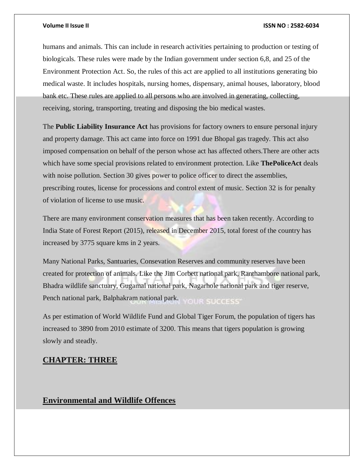humans and animals. This can include in research activities pertaining to production or testing of biologicals. These rules were made by the Indian government under section 6,8, and 25 of the Environment Protection Act. So, the rules of this act are applied to all institutions generating bio medical waste. It includes hospitals, nursing homes, dispensary, animal houses, laboratory, blood bank etc. These rules are applied to all persons who are involved in generating, collecting, receiving, storing, transporting, treating and disposing the bio medical wastes.

The **Public Liability Insurance Act** has provisions for factory owners to ensure personal injury and property damage. This act came into force on 1991 due Bhopal gas tragedy. This act also imposed compensation on behalf of the person whose act has affected others.There are other acts which have some special provisions related to environment protection. Like **ThePoliceAct** deals with noise pollution. Section 30 gives power to police officer to direct the assemblies, prescribing routes, license for processions and control extent of music. Section 32 is for penalty of violation of license to use music.

There are many environment conservation measures that has been taken recently. According to India State of Forest Report (2015), released in December 2015, total forest of the country has increased by 3775 square kms in 2 years.

Many National Parks, Santuaries, Consevation Reserves and community reserves have been created for protection of animals. Like the Jim Corbett national park, Ranthambore national park, Bhadra wildlife sanctuary, Gugamal national park, Nagarhole national park and tiger reserve, Pench national park, Balphakram national park. YOUR SUCCESS"

As per estimation of World Wildlife Fund and Global Tiger Forum, the population of tigers has increased to 3890 from 2010 estimate of 3200. This means that tigers population is growing slowly and steadly.

### **CHAPTER: THREE**

## **Environmental and Wildlife Offences**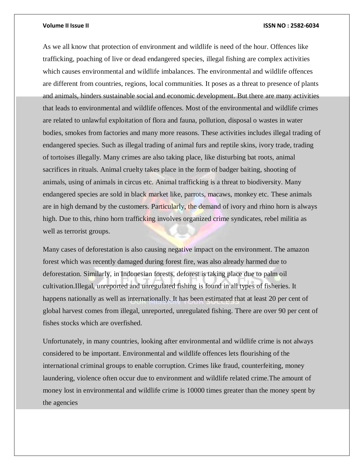As we all know that protection of environment and wildlife is need of the hour. Offences like trafficking, poaching of live or dead endangered species, illegal fishing are complex activities which causes environmental and wildlife imbalances. The environmental and wildlife offences are different from countries, regions, local communities. It poses as a threat to presence of plants and animals, hinders sustainable social and economic development. But there are many activities that leads to environmental and wildlife offences. Most of the environmental and wildlife crimes are related to unlawful exploitation of flora and fauna, pollution, disposal o wastes in water bodies, smokes from factories and many more reasons. These activities includes illegal trading of endangered species. Such as illegal trading of animal furs and reptile skins, ivory trade, trading of tortoises illegally. Many crimes are also taking place, like disturbing bat roots, animal sacrifices in rituals. Animal cruelty takes place in the form of badger baiting, shooting of animals, using of animals in circus etc. Animal trafficking is a threat to biodiversity. Many endangered species are sold in black market like, parrots, macaws, monkey etc. These animals are in high demand by the customers. Particularly, the demand of ivory and rhino horn is always high. Due to this, rhino horn trafficking involves organized crime syndicates, rebel militia as well as terrorist groups.

Many cases of deforestation is also causing negative impact on the environment. The amazon forest which was recently damaged during forest fire, was also already harmed due to deforestation. Similarly, in Indonesian forests, deforest is taking place due to palm oil cultivation.Illegal, unreported and unregulated fishing is found in all types of fisheries. It happens nationally as well as internationally. It has been estimated that at least 20 per cent of global harvest comes from illegal, unreported, unregulated fishing. There are over 90 per cent of fishes stocks which are overfished.

Unfortunately, in many countries, looking after environmental and wildlife crime is not always considered to be important. Environmental and wildlife offences lets flourishing of the international criminal groups to enable corruption. Crimes like fraud, counterfeiting, money laundering, violence often occur due to environment and wildlife related crime.The amount of money lost in environmental and wildlife crime is 10000 times greater than the money spent by the agencies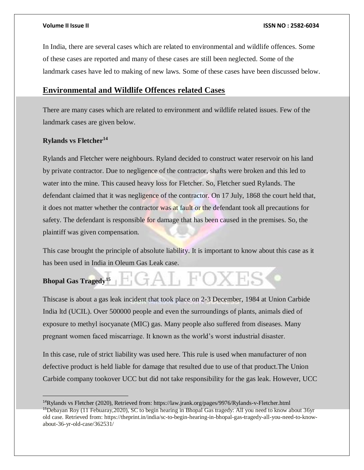In India, there are several cases which are related to environmental and wildlife offences. Some of these cases are reported and many of these cases are still been neglected. Some of the landmark cases have led to making of new laws. Some of these cases have been discussed below.

### **Environmental and Wildlife Offences related Cases**

There are many cases which are related to environment and wildlife related issues. Few of the landmark cases are given below.

## **Rylands vs Fletcher<sup>14</sup>**

 $\overline{a}$ 

Rylands and Fletcher were neighbours. Ryland decided to construct water reservoir on his land by private contractor. Due to negligence of the contractor, shafts were broken and this led to water into the mine. This caused heavy loss for Fletcher. So, Fletcher sued Rylands. The defendant claimed that it was negligence of the contractor. On 17 July, 1868 the court held that, it does not matter whether the contractor was at fault or the defendant took all precautions for safety. The defendant is responsible for damage that has been caused in the premises. So, the plaintiff was given compensation.

This case brought the principle of absolute liability. It is important to know about this case as it has been used in India in Oleum Gas Leak case.

## GAL FOXES **Bhopal Gas Tragedy<sup>15</sup>**

Thiscase is about a gas leak incident that took place on 2-3 December, 1984 at Union Carbide India ltd (UCIL). Over 500000 people and even the surroundings of plants, animals died of exposure to methyl isocyanate (MIC) gas. Many people also suffered from diseases. Many pregnant women faced miscarriage. It known as the world's worst industrial disaster.

In this case, rule of strict liability was used here. This rule is used when manufacturer of non defective product is held liable for damage that resulted due to use of that product.The Union Carbide company tookover UCC but did not take responsibility for the gas leak. However, UCC

<sup>14</sup>Rylands vs Fletcher (2020), Retrieved from:<https://law.jrank.org/pages/9976/Rylands-v-Fletcher.html> <sup>15</sup>Debayan Roy (11 Febuaray, 2020), SC to begin hearing in Bhopal Gas tragedy: All you need to know about 36yr old case. Retrieved from: [https://theprint.in/india/sc-to-begin-hearing-in-bhopal-gas-tragedy-all-you-need-to-know](https://theprint.in/india/sc-to-begin-hearing-in-bhopal-gas-tragedy-all-you-need-to-know-about-36-yr-old-case/362531/)[about-36-yr-old-case/362531/](https://theprint.in/india/sc-to-begin-hearing-in-bhopal-gas-tragedy-all-you-need-to-know-about-36-yr-old-case/362531/)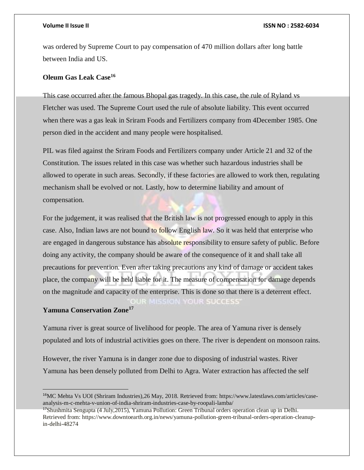was ordered by Supreme Court to pay compensation of 470 million dollars after long battle between India and US.

### **Oleum Gas Leak Case<sup>16</sup>**

This case occurred after the famous Bhopal gas tragedy. In this case, the rule of Ryland vs Fletcher was used. The Supreme Court used the rule of absolute liability. This event occurred when there was a gas leak in Sriram Foods and Fertilizers company from 4December 1985. One person died in the accident and many people were hospitalised.

PIL was filed against the Sriram Foods and Fertilizers company under Article 21 and 32 of the Constitution. The issues related in this case was whether such hazardous industries shall be allowed to operate in such areas. Secondly, if these factories are allowed to work then, regulating mechanism shall be evolved or not. Lastly, how to determine liability and amount of compensation.

For the judgement, it was realised that the British law is not progressed enough to apply in this case. Also, Indian laws are not bound to follow English law. So it was held that enterprise who are engaged in dangerous substance has absolute responsibility to ensure safety of public. Before doing any activity, the company should be aware of the consequence of it and shall take all precautions for prevention. Even after taking precautions any kind of damage or accident takes place, the company will be held liable for it. The measure of compensation for damage depends on the magnitude and capacity of the enterprise. This is done so that there is a deterrent effect. **OUR SUCCESS** 

### **Yamuna Conservation Zone<sup>17</sup>**

Yamuna river is great source of livelihood for people. The area of Yamuna river is densely populated and lots of industrial activities goes on there. The river is dependent on monsoon rains.

However, the river Yamuna is in danger zone due to disposing of industrial wastes. River Yamuna has been densely polluted from Delhi to Agra. Water extraction has affected the self

<sup>&</sup>lt;sup>16</sup>MC Mehta Vs UOI (Shriram Industries), 26 May, 2018. Retrieved from: [https://www.latestlaws.com/articles/case](https://www.latestlaws.com/articles/case-analysis-m-c-mehta-v-union-of-india-shriram-industries-case-by-roopali-lamba/)[analysis-m-c-mehta-v-union-of-india-shriram-industries-case-by-roopali-lamba/](https://www.latestlaws.com/articles/case-analysis-m-c-mehta-v-union-of-india-shriram-industries-case-by-roopali-lamba/)

<sup>&</sup>lt;sup>17</sup>Shushmita Sengupta (4 July, 2015), Yamuna Pollution: Green Tribunal orders operation clean up in Delhi. Retrieved from: [https://www.downtoearth.org.in/news/yamuna-pollution-green-tribunal-orders-operation-cleanup](https://www.downtoearth.org.in/news/yamuna-pollution-green-tribunal-orders-operation-cleanup-in-delhi-48274)[in-delhi-48274](https://www.downtoearth.org.in/news/yamuna-pollution-green-tribunal-orders-operation-cleanup-in-delhi-48274)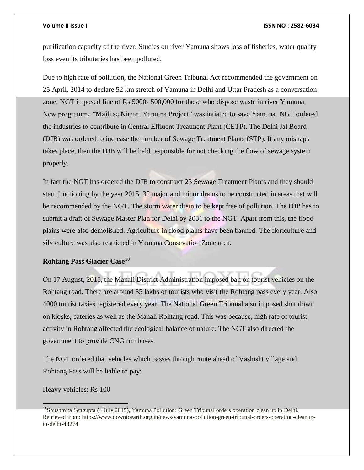purification capacity of the river. Studies on river Yamuna shows loss of fisheries, water quality loss even its tributaries has been polluted.

Due to high rate of pollution, the National Green Tribunal Act recommended the government on 25 April, 2014 to declare 52 km stretch of Yamuna in Delhi and Uttar Pradesh as a conversation zone. NGT imposed fine of Rs 5000- 500,000 for those who dispose waste in river Yamuna. New programme "Maili se Nirmal Yamuna Project" was intiated to save Yamuna. NGT ordered the industries to contribute in Central Effluent Treatment Plant (CETP). The Delhi Jal Board (DJB) was ordered to increase the number of Sewage Treatment Plants (STP). If any mishaps takes place, then the DJB will be held responsible for not checking the flow of sewage system properly.

In fact the NGT has ordered the DJB to construct 23 Sewage Treatment Plants and they should start functioning by the year 2015. 32 major and minor drains to be constructed in areas that will be recommended by the NGT. The storm water drain to be kept free of pollution. The DJP has to submit a draft of Sewage Master Plan for Delhi by 2031 to the NGT. Apart from this, the flood plains were also demolished. Agriculture in flood plains have been banned. The floriculture and silviculture was also restricted in Yamuna Consevation Zone area.

### **Rohtang Pass Glacier Case<sup>18</sup>**

On 17 August, 2015, the Manali District Administration imposed ban on tourist vehicles on the Rohtang road. There are around 35 lakhs of tourists who visit the Rohtang pass every year. Also 4000 tourist taxies registered every year. The National Green Tribunal also imposed shut down on kiosks, eateries as well as the Manali Rohtang road. This was because, high rate of tourist activity in Rohtang affected the ecological balance of nature. The NGT also directed the government to provide CNG run buses.

The NGT ordered that vehicles which passes through route ahead of Vashisht village and Rohtang Pass will be liable to pay:

Heavy vehicles: Rs 100

<sup>&</sup>lt;sup>18</sup>Shushmita Sengupta (4 July, 2015), Yamuna Pollution: Green Tribunal orders operation clean up in Delhi. Retrieved from: [https://www.downtoearth.org.in/news/yamuna-pollution-green-tribunal-orders-operation-cleanup](https://www.downtoearth.org.in/news/yamuna-pollution-green-tribunal-orders-operation-cleanup-in-delhi-48274)[in-delhi-48274](https://www.downtoearth.org.in/news/yamuna-pollution-green-tribunal-orders-operation-cleanup-in-delhi-48274)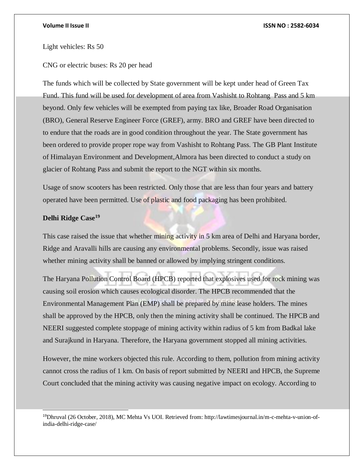Light vehicles: Rs 50

CNG or electric buses: Rs 20 per head

The funds which will be collected by State government will be kept under head of Green Tax Fund. This fund will be used for development of area from Vashisht to Rohtang Pass and 5 km beyond. Only few vehicles will be exempted from paying tax like, Broader Road Organisation (BRO), General Reserve Engineer Force (GREF), army. BRO and GREF have been directed to to endure that the roads are in good condition throughout the year. The State government has been ordered to provide proper rope way from Vashisht to Rohtang Pass. The GB Plant Institute of Himalayan Environment and Development,Almora has been directed to conduct a study on glacier of Rohtang Pass and submit the report to the NGT within six months.

Usage of snow scooters has been restricted. Only those that are less than four years and battery operated have been permitted. Use of plastic and food packaging has been prohibited.

## **Delhi Ridge Case<sup>19</sup>**

l

This case raised the issue that whether mining activity in 5 km area of Delhi and Haryana border, Ridge and Aravalli hills are causing any environmental problems. Secondly, issue was raised whether mining activity shall be banned or allowed by implying stringent conditions.

The Haryana Pollution Control Board (HPCB) reported that explosives used for rock mining was causing soil erosion which causes ecological disorder. The HPCB recommended that the Environmental Management Plan (EMP) shall be prepared by mine lease holders. The mines shall be approved by the HPCB, only then the mining activity shall be continued. The HPCB and NEERI suggested complete stoppage of mining activity within radius of 5 km from Badkal lake and Surajkund in Haryana. Therefore, the Haryana government stopped all mining activities.

However, the mine workers objected this rule. According to them, pollution from mining activity cannot cross the radius of 1 km. On basis of report submitted by NEERI and HPCB, the Supreme Court concluded that the mining activity was causing negative impact on ecology. According to

19Dhruval (26 October, 2018), MC Mehta Vs UOI. Retrieved from: [http://lawtimesjournal.in/m-c-mehta-v-union-of](http://lawtimesjournal.in/m-c-mehta-v-union-of-india-delhi-ridge-case/)[india-delhi-ridge-case/](http://lawtimesjournal.in/m-c-mehta-v-union-of-india-delhi-ridge-case/)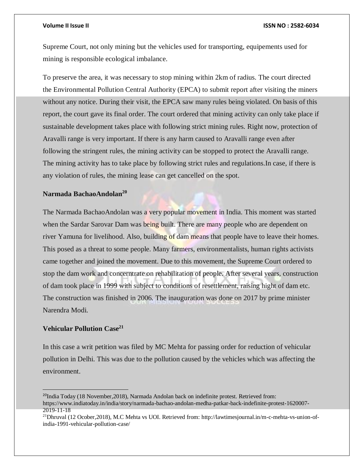Supreme Court, not only mining but the vehicles used for transporting, equipements used for mining is responsible ecological imbalance.

To preserve the area, it was necessary to stop mining within 2km of radius. The court directed the Environmental Pollution Central Authority (EPCA) to submit report after visiting the miners without any notice. During their visit, the EPCA saw many rules being violated. On basis of this report, the court gave its final order. The court ordered that mining activity can only take place if sustainable development takes place with following strict mining rules. Right now, protection of Aravalli range is very important. If there is any harm caused to Aravalli range even after following the stringent rules, the mining activity can be stopped to protect the Aravalli range. The mining activity has to take place by following strict rules and regulations.In case, if there is any violation of rules, the mining lease can get cancelled on the spot.

## **Narmada BachaoAndolan<sup>20</sup>**

The Narmada BachaoAndolan was a very popular movement in India. This moment was started when the Sardar Sarovar Dam was being built. There are many people who are dependent on river Yamuna for livelihood. Also, building of dam means that people have to leave their homes. This posed as a threat to some people. Many farmers, environmentalists, human rights activists came together and joined the movement. Due to this movement, the Supreme Court ordered to stop the dam work and concerntrate on rehabilitation of people. After several years, construction of dam took place in 1999 with subject to conditions of resettlement, raising hight of dam etc. The construction was finished in 2006. The inauguration was done on 2017 by prime minister Narendra Modi.

### **Vehicular Pollution Case<sup>21</sup>**

 $\overline{a}$ 

In this case a writ petition was filed by MC Mehta for passing order for reduction of vehicular pollution in Delhi. This was due to the pollution caused by the vehicles which was affecting the environment.

 $^{20}$ India Today (18 November, 2018), Narmada Andolan back on indefinite protest. Retrieved from: [https://www.indiatoday.in/india/story/narmada-bachao-andolan-medha-patkar-back-indefinite-protest-1620007-](https://www.indiatoday.in/india/story/narmada-bachao-andolan-medha-patkar-back-indefinite-protest-1620007-2019-11-18) [2019-11-18](https://www.indiatoday.in/india/story/narmada-bachao-andolan-medha-patkar-back-indefinite-protest-1620007-2019-11-18)

<sup>21</sup>Dhruval (12 Ocober,2018), M.C Mehta vs UOI. Retrieved from[: http://lawtimesjournal.in/m-c-mehta-vs-union-of](http://lawtimesjournal.in/m-c-mehta-vs-union-of-india-1991-vehicular-pollution-case/)[india-1991-vehicular-pollution-case/](http://lawtimesjournal.in/m-c-mehta-vs-union-of-india-1991-vehicular-pollution-case/)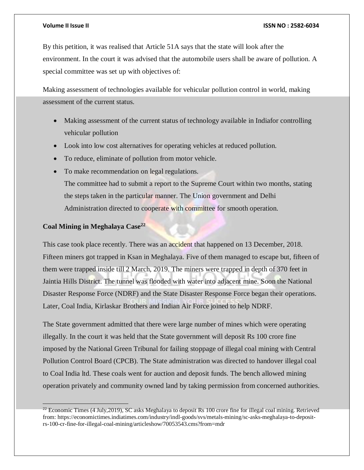By this petition, it was realised that Article 51A says that the state will look after the environment. In the court it was advised that the automobile users shall be aware of pollution. A special committee was set up with objectives of:

Making assessment of technologies available for vehicular pollution control in world, making assessment of the current status.

- Making assessment of the current status of technology available in Indiafor controlling vehicular pollution
- Look into low cost alternatives for operating vehicles at reduced pollution.
- To reduce, eliminate of pollution from motor vehicle.
- To make recommendation on legal regulations.

The committee had to submit a report to the Supreme Court within two months, stating the steps taken in the particular manner. The Union government and Delhi Administration directed to cooperate with committee for smooth operation.

## **Coal Mining in Meghalaya Case<sup>22</sup>**

This case took place recently. There was an accident that happened on 13 December, 2018. Fifteen miners got trapped in Ksan in Meghalaya. Five of them managed to escape but, fifteen of them were trapped inside till 2 March, 2019. The miners were trapped in depth of 370 feet in Jaintia Hills District. The tunnel was flooded with water into adjacent mine. Soon the National Disaster Response Force (NDRF) and the State Disaster Response Force began their operations. Later, Coal India, Kirlaskar Brothers and Indian Air Force joined to help NDRF.

The State government admitted that there were large number of mines which were operating illegally. In the court it was held that the State government will deposit Rs 100 crore fine imposed by the National Green Tribunal for failing stoppage of illegal coal mining with Central Pollution Control Board (CPCB). The State administration was directed to handover illegal coal to Coal India ltd. These coals went for auction and deposit funds. The bench allowed mining operation privately and community owned land by taking permission from concerned authorities.

<sup>&</sup>lt;sup>22</sup> Economic Times (4 July, 2019), SC asks Meghalaya to deposit Rs 100 crore fine for illegal coal mining. Retrieved from[: https://economictimes.indiatimes.com/industry/indl-goods/svs/metals-mining/sc-asks-meghalaya-to-deposit](https://economictimes.indiatimes.com/industry/indl-goods/svs/metals-mining/sc-asks-meghalaya-to-deposit-rs-100-cr-fine-for-illegal-coal-mining/articleshow/70053543.cms?from=mdr)[rs-100-cr-fine-for-illegal-coal-mining/articleshow/70053543.cms?from=mdr](https://economictimes.indiatimes.com/industry/indl-goods/svs/metals-mining/sc-asks-meghalaya-to-deposit-rs-100-cr-fine-for-illegal-coal-mining/articleshow/70053543.cms?from=mdr)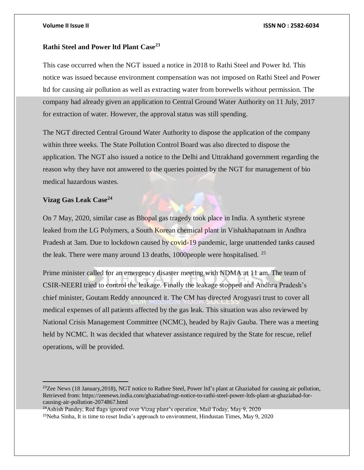### **Rathi Steel and Power ltd Plant Case<sup>23</sup>**

This case occurred when the NGT issued a notice in 2018 to Rathi Steel and Power ltd. This notice was issued because environment compensation was not imposed on Rathi Steel and Power ltd for causing air pollution as well as extracting water from borewells without permission. The company had already given an application to Central Ground Water Authority on 11 July, 2017 for extraction of water. However, the approval status was still spending.

The NGT directed Central Ground Water Authority to dispose the application of the company within three weeks. The State Pollution Control Board was also directed to dispose the application. The NGT also issued a notice to the Delhi and Uttrakhand government regarding the reason why they have not answered to the queries pointed by the NGT for management of bio medical hazardous wastes.

## **Vizag Gas Leak Case<sup>24</sup>**

 $\overline{a}$ 

On 7 May, 2020, similar case as Bhopal gas tragedy took place in India. A synthetic styrene leaked from the LG Polymers, a South Korean chemical plant in Vishakhapatnam in Andhra Pradesh at 3am. Due to lockdown caused by covid-19 pandemic, large unattended tanks caused the leak. There were many around 13 deaths, 1000 people were hospitalised. <sup>25</sup>

Prime minister called for an emergency disaster meeting with NDMA at 11 am. The team of CSIR-NEERI tried to control the leakage. Finally the leakage stopped and Andhra Pradesh's chief minister, Goutam Reddy announced it. The CM has directed Arogyasri trust to cover all medical expenses of all patients affected by the gas leak. This situation was also reviewed by National Crisis Management Committee (NCMC), headed by Rajiv Gauba. There was a meeting held by NCMC. It was decided that whatever assistance required by the State for rescue, relief operations, will be provided.

<sup>24</sup>Ashish Pandey, Red flags ignored over Vizag plant's operation, Mail Today, May 9, 2020 <sup>25</sup>Neha Sinha, It is time to reset India's approach to environment, Hindustan Times, May 9, 2020

<sup>&</sup>lt;sup>23</sup>Zee News (18 January, 2018), NGT notice to Rathee Steel, Power ltd's plant at Ghaziabad for causing air pollution, Retrieved from: [https://zeenews.india.com/ghaziabad/ngt-notice-to-rathi-steel-power-ltds-plant-at-ghaziabad-for](https://zeenews.india.com/ghaziabad/ngt-notice-to-rathi-steel-power-ltds-plant-at-ghaziabad-for-causing-air-pollution-2074867.html)[causing-air-pollution-2074867.html](https://zeenews.india.com/ghaziabad/ngt-notice-to-rathi-steel-power-ltds-plant-at-ghaziabad-for-causing-air-pollution-2074867.html)